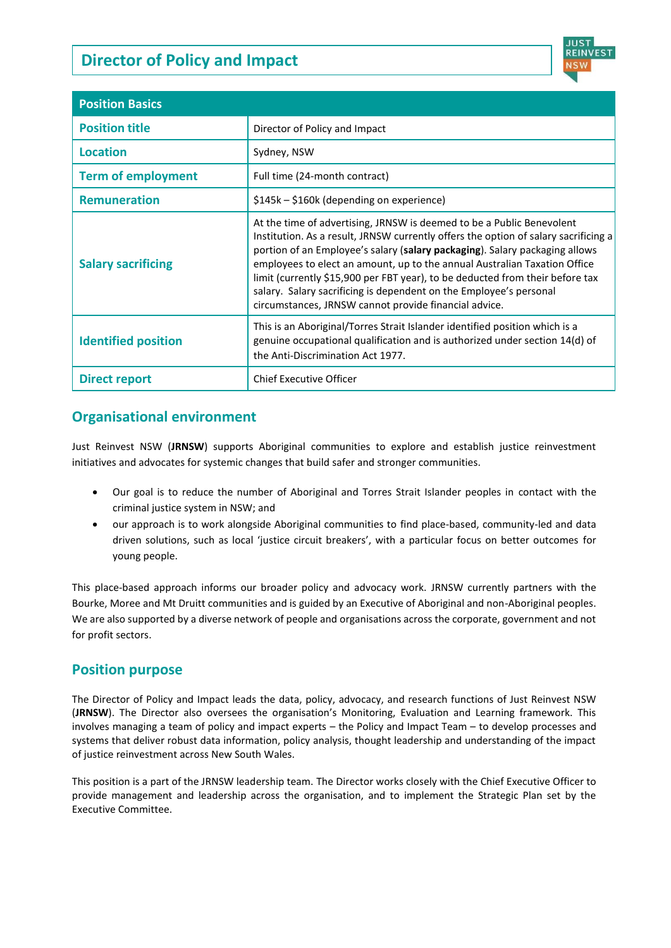# **Director of Policy and Impact**



| <b>Position Basics</b>     |                                                                                                                                                                                                                                                                                                                                                                                                                                                                                                                                          |
|----------------------------|------------------------------------------------------------------------------------------------------------------------------------------------------------------------------------------------------------------------------------------------------------------------------------------------------------------------------------------------------------------------------------------------------------------------------------------------------------------------------------------------------------------------------------------|
| <b>Position title</b>      | Director of Policy and Impact                                                                                                                                                                                                                                                                                                                                                                                                                                                                                                            |
| <b>Location</b>            | Sydney, NSW                                                                                                                                                                                                                                                                                                                                                                                                                                                                                                                              |
| <b>Term of employment</b>  | Full time (24-month contract)                                                                                                                                                                                                                                                                                                                                                                                                                                                                                                            |
| <b>Remuneration</b>        | \$145k - \$160k (depending on experience)                                                                                                                                                                                                                                                                                                                                                                                                                                                                                                |
| <b>Salary sacrificing</b>  | At the time of advertising, JRNSW is deemed to be a Public Benevolent<br>Institution. As a result, JRNSW currently offers the option of salary sacrificing a<br>portion of an Employee's salary (salary packaging). Salary packaging allows<br>employees to elect an amount, up to the annual Australian Taxation Office<br>limit (currently \$15,900 per FBT year), to be deducted from their before tax<br>salary. Salary sacrificing is dependent on the Employee's personal<br>circumstances, JRNSW cannot provide financial advice. |
| <b>Identified position</b> | This is an Aboriginal/Torres Strait Islander identified position which is a<br>genuine occupational qualification and is authorized under section 14(d) of<br>the Anti-Discrimination Act 1977.                                                                                                                                                                                                                                                                                                                                          |
| <b>Direct report</b>       | <b>Chief Executive Officer</b>                                                                                                                                                                                                                                                                                                                                                                                                                                                                                                           |

# **Organisational environment**

Just Reinvest NSW (**JRNSW**) supports Aboriginal communities to explore and establish justice reinvestment initiatives and advocates for systemic changes that build safer and stronger communities.

- Our goal is to reduce the number of Aboriginal and Torres Strait Islander peoples in contact with the criminal justice system in NSW; and
- our approach is to work alongside Aboriginal communities to find place-based, community-led and data driven solutions, such as local 'justice circuit breakers', with a particular focus on better outcomes for young people.

This place-based approach informs our broader policy and advocacy work. JRNSW currently partners with the Bourke, Moree and Mt Druitt communities and is guided by an Executive of Aboriginal and non-Aboriginal peoples. We are also supported by a diverse network of people and organisations across the corporate, government and not for profit sectors.

# **Position purpose**

The Director of Policy and Impact leads the data, policy, advocacy, and research functions of Just Reinvest NSW (**JRNSW**). The Director also oversees the organisation's Monitoring, Evaluation and Learning framework. This involves managing a team of policy and impact experts – the Policy and Impact Team – to develop processes and systems that deliver robust data information, policy analysis, thought leadership and understanding of the impact of justice reinvestment across New South Wales.

This position is a part of the JRNSW leadership team. The Director works closely with the Chief Executive Officer to provide management and leadership across the organisation, and to implement the Strategic Plan set by the Executive Committee.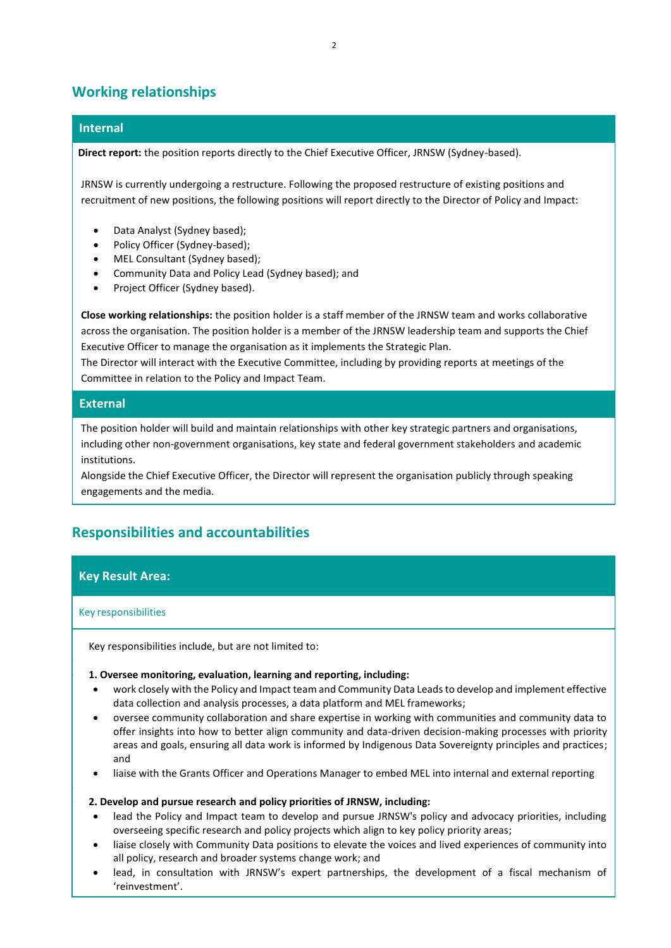# **Working relationships**

### **Internal**

 **Direct report:** the position reports directly to the Chief Executive Officer, JRNSW (Sydney-based).

JRNSW is currently undergoing a restructure. Following the proposed restructure of existing positions and recruitment of new positions, the following positions will report directly to the Director of Policy and Impact:

- Data Analyst (Sydney based);
- Policy Officer (Sydney-based);
- MEL Consultant (Sydney based);
- Community Data and Policy Lead (Sydney based); and
- Project Officer (Sydney based).

**Close working relationships:** the position holder is a staff member of the JRNSW team and works collaborative across the organisation. The position holder is a member of the JRNSW leadership team and supports the Chief Executive Officer to manage the organisation as it implements the Strategic Plan.

The Director will interact with the Executive Committee, including by providing reports at meetings of the Committee in relation to the Policy and Impact Team.

#### **External**

The position holder will build and maintain relationships with other key strategic partners and organisations, including other non-government organisations, key state and federal government stakeholders and academic institutions.

Alongside the Chief Executive Officer, the Director will represent the organisation publicly through speaking engagements and the media.

# **Responsibilities and accountabilities**

### **Key Result Area:**

#### Key responsibilities

•

•

Key responsibilities include, but are not limited to:

#### • **1. Oversee monitoring, evaluation, learning and reporting, including:**

- work closely with the Policy and Impact team and Community Data Leads to develop and implement effective data collection and analysis processes, a data platform and MEL frameworks;
- oversee community collaboration and share expertise in working with communities and community data to offer insights into how to better align community and data-driven decision-making processes with priority areas and goals, ensuring all data work is informed by Indigenous Data Sovereignty principles and practices; and
- liaise with the Grants Officer and Operations Manager to embed MEL into internal and external reporting

#### • **2. Develop and pursue research and policy priorities of JRNSW, including:**

- lead the Policy and Impact team to develop and pursue JRNSW's policy and advocacy priorities, including overseeing specific research and policy projects which align to key policy priority areas;
- liaise closely with Community Data positions to elevate the voices and lived experiences of community into all policy, research and broader systems change work; and
- lead, in consultation with JRNSW's expert partnerships, the development of a fiscal mechanism of 'reinvestment'.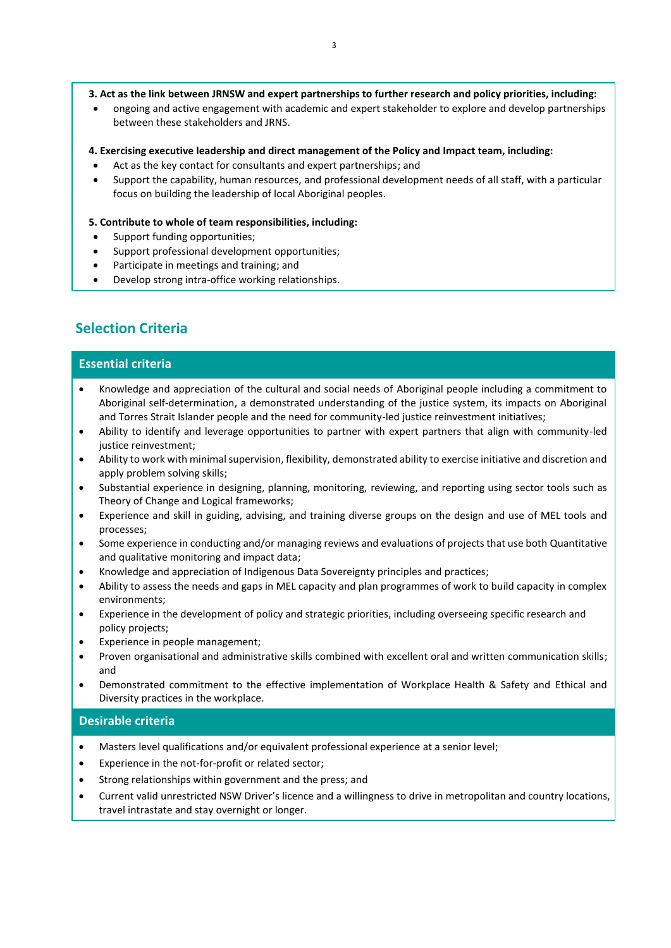#### • **3. Act as the link between JRNSW and expert partnerships to further research and policy priorities, including:**

• ongoing and active engagement with academic and expert stakeholder to explore and develop partnerships between these stakeholders and JRNS.

#### • **4. Exercising executive leadership and direct management of the Policy and Impact team, including:**

- Act as the key contact for consultants and expert partnerships; and
- Support the capability, human resources, and professional development needs of all staff, with a particular focus on building the leadership of local Aboriginal peoples.

#### • **5. Contribute to whole of team responsibilities, including:**

- Support funding opportunities;
- Support professional development opportunities;
- Participate in meetings and training; and
- Develop strong intra-office working relationships.

### **Selection Criteria**

•

•

### **Essential criteria**

- Knowledge and appreciation of the cultural and social needs of Aboriginal people including a commitment to Aboriginal self-determination, a demonstrated understanding of the justice system, its impacts on Aboriginal and Torres Strait Islander people and the need for community-led justice reinvestment initiatives;
- Ability to identify and leverage opportunities to partner with expert partners that align with community-led justice reinvestment;
- Ability to work with minimal supervision, flexibility, demonstrated ability to exercise initiative and discretion and apply problem solving skills;
- Substantial experience in designing, planning, monitoring, reviewing, and reporting using sector tools such as Theory of Change and Logical frameworks;
- Experience and skill in guiding, advising, and training diverse groups on the design and use of MEL tools and processes;
- Some experience in conducting and/or managing reviews and evaluations of projects that use both Quantitative and qualitative monitoring and impact data;
- Knowledge and appreciation of Indigenous Data Sovereignty principles and practices;
- Ability to assess the needs and gaps in MEL capacity and plan programmes of work to build capacity in complex environments;
- Experience in the development of policy and strategic priorities, including overseeing specific research and policy projects;
- Experience in people management;
- Proven organisational and administrative skills combined with excellent oral and written communication skills; and
- Demonstrated commitment to the effective implementation of Workplace Health & Safety and Ethical and Diversity practices in the workplace.

#### **Desirable criteria**

- Masters level qualifications and/or equivalent professional experience at a senior level;
- Experience in the not-for-profit or related sector;
- Strong relationships within government and the press; and
- Current valid unrestricted NSW Driver's licence and a willingness to drive in metropolitan and country locations, travel intrastate and stay overnight or longer.